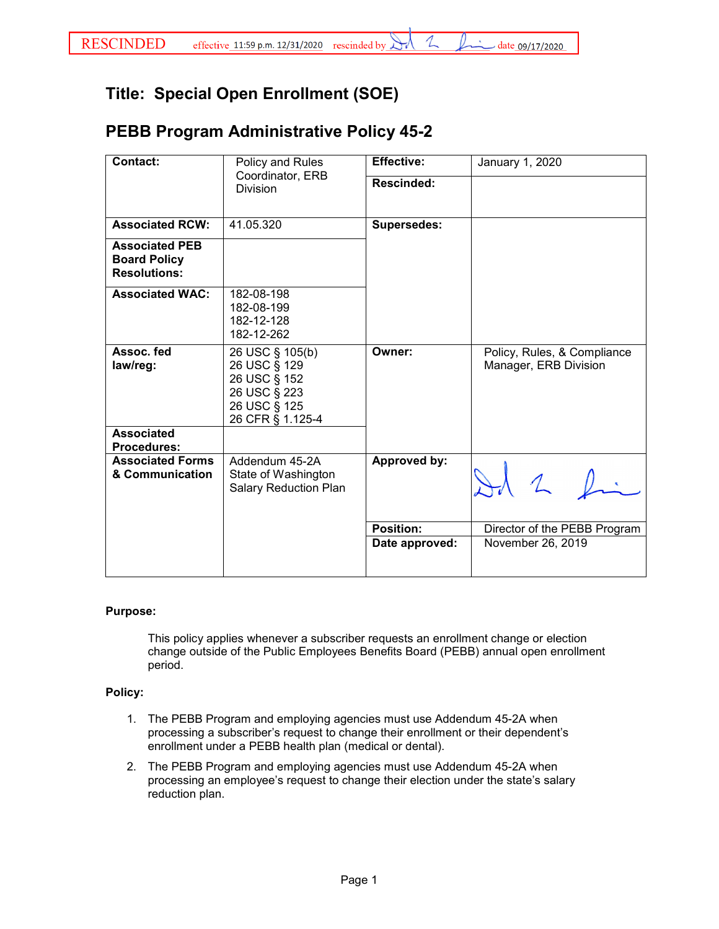1

## **Title: Special Open Enrollment (SOE)**

## **PEBB Program Administrative Policy 45-2**

| <b>Contact:</b>                                                     | Policy and Rules<br>Coordinator, ERB                                                                | <b>Effective:</b>  | January 1, 2020                                      |
|---------------------------------------------------------------------|-----------------------------------------------------------------------------------------------------|--------------------|------------------------------------------------------|
|                                                                     | <b>Division</b>                                                                                     | Rescinded:         |                                                      |
| <b>Associated RCW:</b>                                              | 41.05.320                                                                                           | <b>Supersedes:</b> |                                                      |
| <b>Associated PEB</b><br><b>Board Policy</b><br><b>Resolutions:</b> |                                                                                                     |                    |                                                      |
| <b>Associated WAC:</b>                                              | 182-08-198<br>182-08-199<br>182-12-128<br>182-12-262                                                |                    |                                                      |
| Assoc. fed<br>law/reg:                                              | 26 USC § 105(b)<br>26 USC § 129<br>26 USC § 152<br>26 USC § 223<br>26 USC § 125<br>26 CFR § 1.125-4 | Owner:             | Policy, Rules, & Compliance<br>Manager, ERB Division |
| <b>Associated</b><br><b>Procedures:</b>                             |                                                                                                     |                    |                                                      |
| <b>Associated Forms</b><br>& Communication                          | Addendum 45-2A<br>State of Washington<br><b>Salary Reduction Plan</b>                               | Approved by:       | 2 h                                                  |
|                                                                     |                                                                                                     | <b>Position:</b>   | Director of the PEBB Program                         |
|                                                                     |                                                                                                     | Date approved:     | November 26, 2019                                    |

## **Purpose:**

This policy applies whenever a subscriber requests an enrollment change or election change outside of the Public Employees Benefits Board (PEBB) annual open enrollment period.

## **Policy:**

- 1. The PEBB Program and employing agencies must use Addendum 45-2A when processing a subscriber's request to change their enrollment or their dependent's enrollment under a PEBB health plan (medical or dental).
- 2. The PEBB Program and employing agencies must use Addendum 45-2A when processing an employee's request to change their election under the state's salary reduction plan.